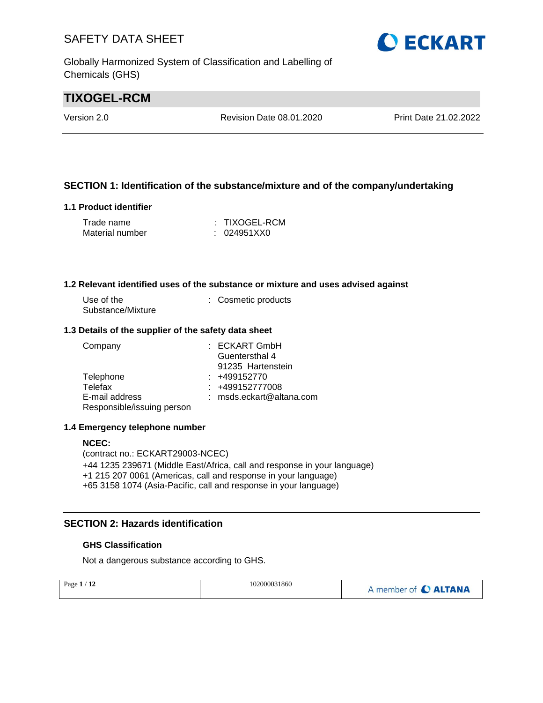Globally Harmonized System of Classification and Labelling of Chemicals (GHS)

# **TIXOGEL-RCM**

Version 2.0 Revision Date 08.01.2020 Print Date 21.02.2022

## **SECTION 1: Identification of the substance/mixture and of the company/undertaking**

#### **1.1 Product identifier**

| Trade name      | : TIXOGEL-RCM |
|-----------------|---------------|
| Material number | : 024951XX0   |

#### **1.2 Relevant identified uses of the substance or mixture and uses advised against**

| Use of the        | : Cosmetic products |
|-------------------|---------------------|
| Substance/Mixture |                     |

#### **1.3 Details of the supplier of the safety data sheet**

| Company                    | $:$ ECKART GmbH            |
|----------------------------|----------------------------|
|                            | Guentersthal 4             |
|                            | 91235 Hartenstein          |
| Telephone                  | $: +499152770$             |
| Telefax                    | $: +499152777008$          |
| E-mail address             | $:$ msds.eckart@altana.com |
| Responsible/issuing person |                            |

#### **1.4 Emergency telephone number**

#### **NCEC:**

(contract no.: ECKART29003-NCEC) +44 1235 239671 (Middle East/Africa, call and response in your language) +1 215 207 0061 (Americas, call and response in your language) +65 3158 1074 (Asia-Pacific, call and response in your language)

## **SECTION 2: Hazards identification**

#### **GHS Classification**

Not a dangerous substance according to GHS.

| Page $1/12$ | 102000031860 | A member of C ALTANA |
|-------------|--------------|----------------------|
|             |              |                      |

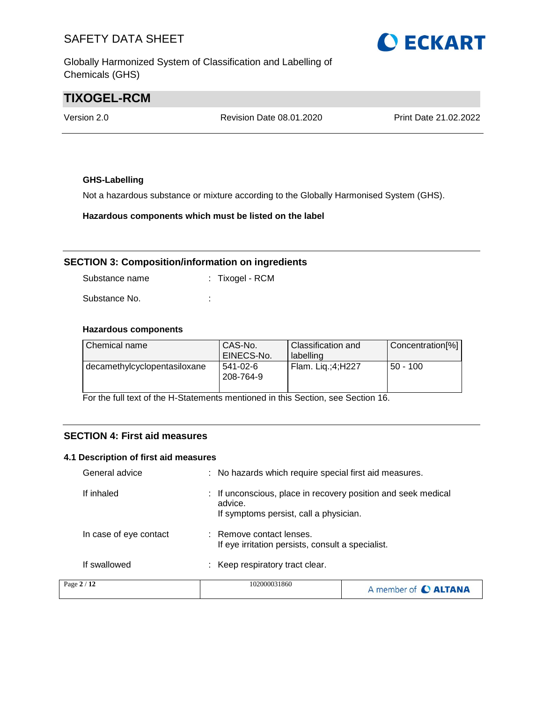Globally Harmonized System of Classification and Labelling of Chemicals (GHS)

# **O ECKART**

# **TIXOGEL-RCM**

Version 2.0 Revision Date 08.01.2020 Print Date 21.02.2022

## **GHS-Labelling**

Not a hazardous substance or mixture according to the Globally Harmonised System (GHS).

**Hazardous components which must be listed on the label**

## **SECTION 3: Composition/information on ingredients**

Substance name : Tixogel - RCM

Substance No.  $\qquad \qquad :$ 

#### **Hazardous components**

| Chemical name                | CAS-No.<br>EINECS-No. | Classification and<br>labelling | Concentration <sup>[%]</sup> |
|------------------------------|-----------------------|---------------------------------|------------------------------|
| decamethylcyclopentasiloxane | 541-02-6<br>208-764-9 | Flam. Lig.; 4; H227             | $50 - 100$                   |

For the full text of the H-Statements mentioned in this Section, see Section 16.

## **SECTION 4: First aid measures**

#### **4.1 Description of first aid measures**

| Page 2 / 12            | 102000031860                                                                                                       | A member of <b>C ALTANA</b> |
|------------------------|--------------------------------------------------------------------------------------------------------------------|-----------------------------|
| If swallowed           | : Keep respiratory tract clear.                                                                                    |                             |
| In case of eye contact | : Remove contact lenses.<br>If eye irritation persists, consult a specialist.                                      |                             |
| If inhaled             | : If unconscious, place in recovery position and seek medical<br>advice.<br>If symptoms persist, call a physician. |                             |
| General advice         | : No hazards which require special first aid measures.                                                             |                             |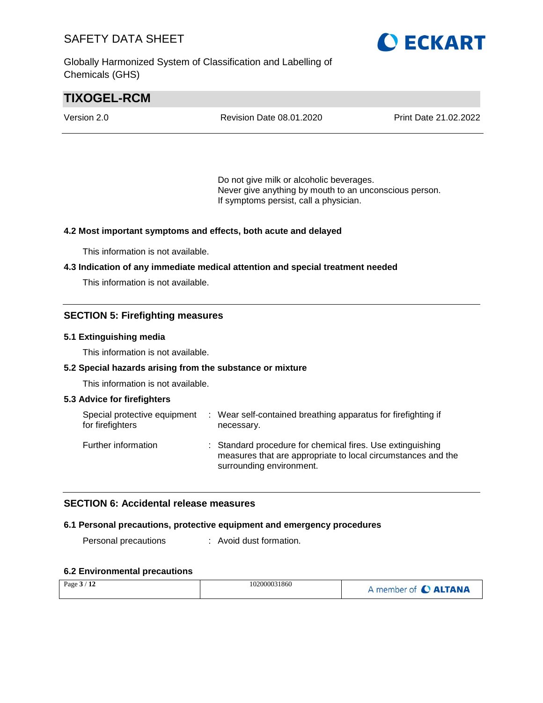Globally Harmonized System of Classification and Labelling of Chemicals (GHS)



# **TIXOGEL-RCM**

| Version 2.0 | Revision Date 08.01.2020 | Print Date 21.02.2022 |
|-------------|--------------------------|-----------------------|
|             |                          |                       |

Do not give milk or alcoholic beverages. Never give anything by mouth to an unconscious person. If symptoms persist, call a physician.

#### **4.2 Most important symptoms and effects, both acute and delayed**

This information is not available.

#### **4.3 Indication of any immediate medical attention and special treatment needed**

This information is not available.

### **SECTION 5: Firefighting measures**

#### **5.1 Extinguishing media**

This information is not available.

#### **5.2 Special hazards arising from the substance or mixture**

This information is not available.

#### **5.3 Advice for firefighters**

| Special protective equipment<br>for firefighters | : Wear self-contained breathing apparatus for firefighting if<br>necessary.                                                                            |
|--------------------------------------------------|--------------------------------------------------------------------------------------------------------------------------------------------------------|
| Further information                              | : Standard procedure for chemical fires. Use extinguishing<br>measures that are appropriate to local circumstances and the<br>surrounding environment. |

#### **SECTION 6: Accidental release measures**

#### **6.1 Personal precautions, protective equipment and emergency procedures**

Personal precautions : Avoid dust formation.

#### **6.2 Environmental precautions**

| Page $3/12$ | 102000031860 | A member of C ALTANA |
|-------------|--------------|----------------------|
|-------------|--------------|----------------------|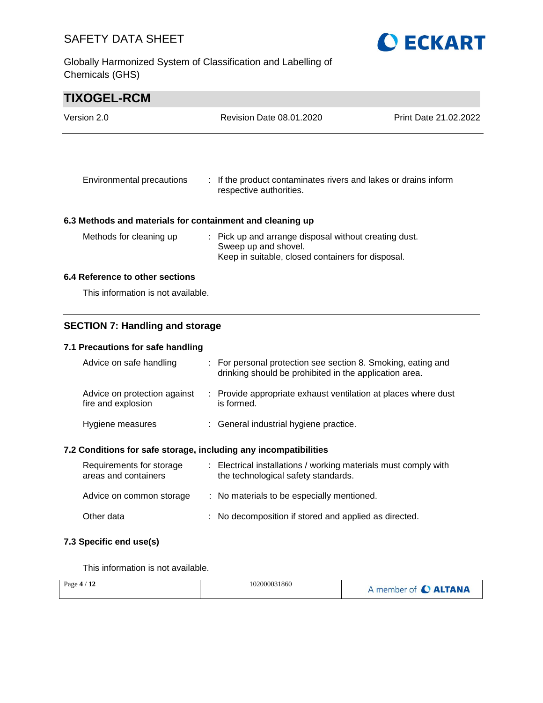Globally Harmonized System of Classification and Labelling of Chemicals (GHS)



# **TIXOGEL-RCM**

| Version 2.0                                               | Revision Date 08.01.2020                                                                                                           | Print Date 21.02.2022 |
|-----------------------------------------------------------|------------------------------------------------------------------------------------------------------------------------------------|-----------------------|
|                                                           |                                                                                                                                    |                       |
| Environmental precautions                                 | : If the product contaminates rivers and lakes or drains inform<br>respective authorities.                                         |                       |
| 6.3 Methods and materials for containment and cleaning up |                                                                                                                                    |                       |
| Methods for cleaning up                                   | : Pick up and arrange disposal without creating dust.<br>Sweep up and shovel.<br>Keep in suitable, closed containers for disposal. |                       |
| 6.4 Reference to other sections                           |                                                                                                                                    |                       |

This information is not available.

## **SECTION 7: Handling and storage**

## **7.1 Precautions for safe handling**

| Advice on safe handling                            | : For personal protection see section 8. Smoking, eating and<br>drinking should be prohibited in the application area. |
|----------------------------------------------------|------------------------------------------------------------------------------------------------------------------------|
| Advice on protection against<br>fire and explosion | : Provide appropriate exhaust ventilation at places where dust<br>is formed.                                           |
| Hygiene measures                                   | : General industrial hygiene practice.                                                                                 |

## **7.2 Conditions for safe storage, including any incompatibilities**

| Requirements for storage<br>areas and containers | : Electrical installations / working materials must comply with<br>the technological safety standards. |
|--------------------------------------------------|--------------------------------------------------------------------------------------------------------|
| Advice on common storage                         | : No materials to be especially mentioned.                                                             |
| Other data                                       | : No decomposition if stored and applied as directed.                                                  |

## **7.3 Specific end use(s)**

This information is not available.

| Page $4/12$ | 102000031860 | A member of C ALTANA |
|-------------|--------------|----------------------|
|             |              |                      |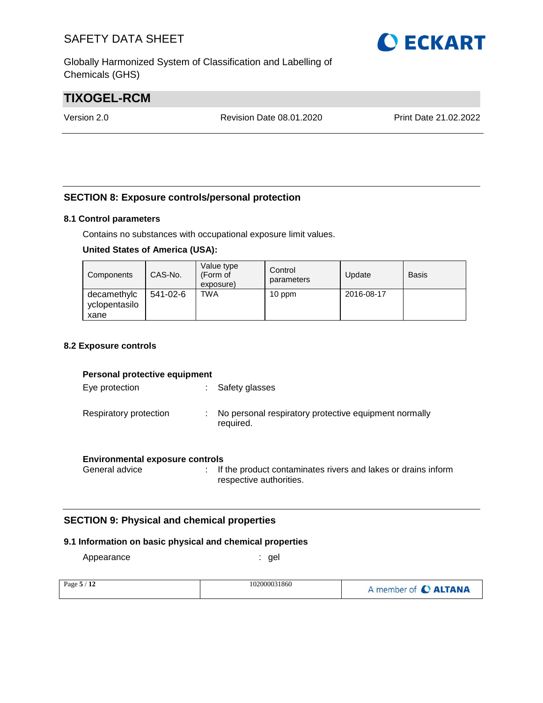Globally Harmonized System of Classification and Labelling of Chemicals (GHS)

# **TIXOGEL-RCM**

Version 2.0 Revision Date 08.01.2020 Print Date 21.02.2022

## **SECTION 8: Exposure controls/personal protection**

#### **8.1 Control parameters**

Contains no substances with occupational exposure limit values.

## **United States of America (USA):**

| Components                           | CAS-No.  | Value type<br>(Form of<br>exposure) | Control<br>parameters | Update     | <b>Basis</b> |
|--------------------------------------|----------|-------------------------------------|-----------------------|------------|--------------|
| decamethylc<br>yclopentasilo<br>xane | 541-02-6 | TWA                                 | 10 ppm                | 2016-08-17 |              |

#### **8.2 Exposure controls**

| Personal protective equipment                            |                                                                                          |  |
|----------------------------------------------------------|------------------------------------------------------------------------------------------|--|
| Eye protection                                           | Safety glasses                                                                           |  |
| Respiratory protection                                   | No personal respiratory protective equipment normally<br>required.                       |  |
| <b>Environmental exposure controls</b><br>General advice | If the product contaminates rivers and lakes or drains inform<br>respective authorities. |  |

## **SECTION 9: Physical and chemical properties**

#### **9.1 Information on basic physical and chemical properties**

Appearance : gel

| Page $5/$<br>12 | 102000031860 | A member of C ALTANA |
|-----------------|--------------|----------------------|
|-----------------|--------------|----------------------|

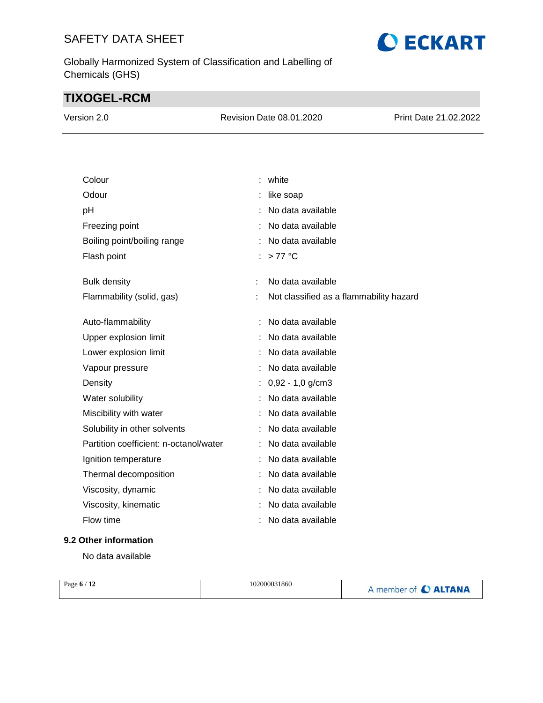Globally Harmonized System of Classification and Labelling of Chemicals (GHS)

# **TIXOGEL-RCM**

| Version 2.0                            | Revision Date 08.01.2020                | Print Date 21.02.2022 |
|----------------------------------------|-----------------------------------------|-----------------------|
|                                        |                                         |                       |
| Colour                                 | white<br>t                              |                       |
| Odour                                  | like soap                               |                       |
| pH                                     | No data available                       |                       |
| Freezing point                         | No data available                       |                       |
| Boiling point/boiling range            | No data available                       |                       |
| Flash point                            | $>77^{\circ}$ C                         |                       |
| <b>Bulk density</b>                    | No data available                       |                       |
| Flammability (solid, gas)              | Not classified as a flammability hazard |                       |
| Auto-flammability                      | No data available                       |                       |
| Upper explosion limit                  | No data available                       |                       |
| Lower explosion limit                  | No data available                       |                       |
| Vapour pressure                        | No data available                       |                       |
| Density                                | $0,92 - 1,0$ g/cm3                      |                       |
| Water solubility                       | No data available                       |                       |
| Miscibility with water                 | No data available                       |                       |
| Solubility in other solvents           | No data available                       |                       |
| Partition coefficient: n-octanol/water | No data available                       |                       |
| Ignition temperature                   | No data available                       |                       |
| Thermal decomposition                  | No data available                       |                       |
| Viscosity, dynamic                     | No data available                       |                       |
| Viscosity, kinematic                   | No data available                       |                       |
| Flow time                              | No data available                       |                       |
|                                        |                                         |                       |

## **9.2 Other information**

No data available

| Page $6/12$ | 102000031860 | A member of C ALTANA |
|-------------|--------------|----------------------|
|             |              |                      |

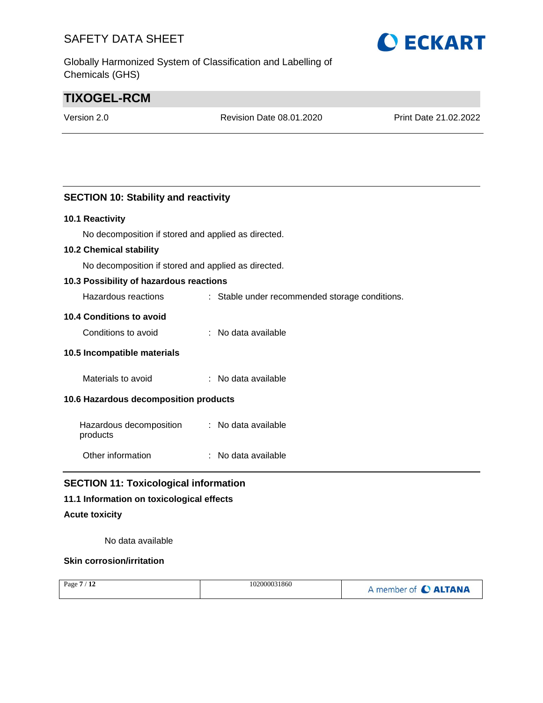Globally Harmonized System of Classification and Labelling of Chemicals (GHS)

# **TIXOGEL-RCM**

Version 2.0 Revision Date 08.01.2020 Print Date 21.02.2022

## **SECTION 10: Stability and reactivity**

#### **10.1 Reactivity**

No decomposition if stored and applied as directed.

#### **10.2 Chemical stability**

No decomposition if stored and applied as directed.

#### **10.3 Possibility of hazardous reactions**

Hazardous reactions : Stable under recommended storage conditions.

#### **10.4 Conditions to avoid**

| Conditions to avoid | No data available |
|---------------------|-------------------|
|---------------------|-------------------|

#### **10.5 Incompatible materials**

Materials to avoid : No data available

#### **10.6 Hazardous decomposition products**

| Hazardous decomposition | : No data available |
|-------------------------|---------------------|
| products                |                     |

Other information : No data available

### **SECTION 11: Toxicological information**

#### **11.1 Information on toxicological effects**

#### **Acute toxicity**

No data available

#### **Skin corrosion/irritation**

| Page $7/12$ | 102000031860 | A member of C ALTANA |
|-------------|--------------|----------------------|
|             |              |                      |

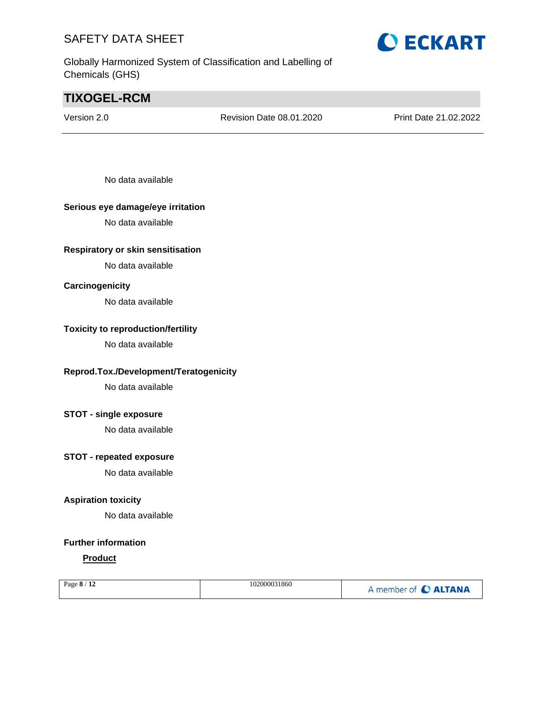Globally Harmonized System of Classification and Labelling of Chemicals (GHS)

# **TIXOGEL-RCM**

Version 2.0 Revision Date 08.01.2020 Print Date 21.02.2022

No data available

## **Serious eye damage/eye irritation**

No data available

## **Respiratory or skin sensitisation**

No data available

#### **Carcinogenicity**

No data available

#### **Toxicity to reproduction/fertility**

No data available

## **Reprod.Tox./Development/Teratogenicity**

No data available

#### **STOT - single exposure**

No data available

#### **STOT - repeated exposure**

No data available

#### **Aspiration toxicity**

No data available

#### **Further information**

#### **Product**

| Page $8/12$ | 102000031860 | A member of C ALTANA |
|-------------|--------------|----------------------|
|             |              |                      |

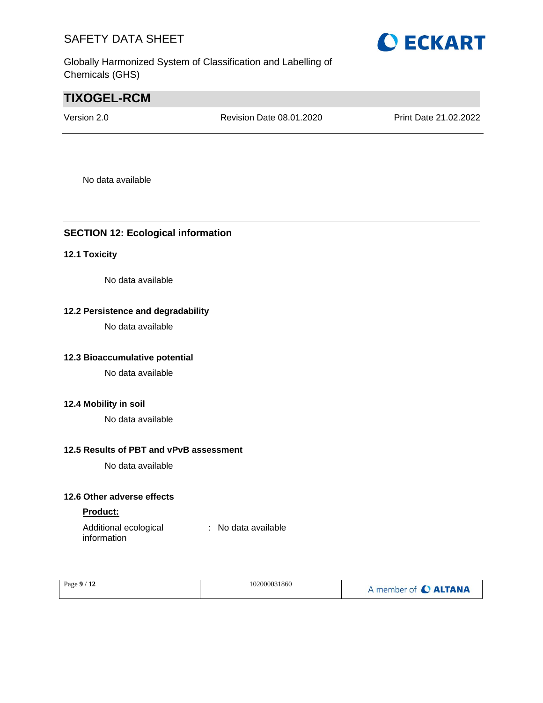Globally Harmonized System of Classification and Labelling of Chemicals (GHS)

# **O ECKART**

# **TIXOGEL-RCM**

Version 2.0 Revision Date 08.01.2020 Print Date 21.02.2022

No data available

## **SECTION 12: Ecological information**

## **12.1 Toxicity**

No data available

## **12.2 Persistence and degradability**

No data available

### **12.3 Bioaccumulative potential**

No data available

#### **12.4 Mobility in soil**

No data available

## **12.5 Results of PBT and vPvB assessment**

No data available

## **12.6 Other adverse effects**

## **Product:**

Additional ecological information : No data available

| 102000031860<br>Page $9/12$ | A member of C ALTANA |
|-----------------------------|----------------------|
|-----------------------------|----------------------|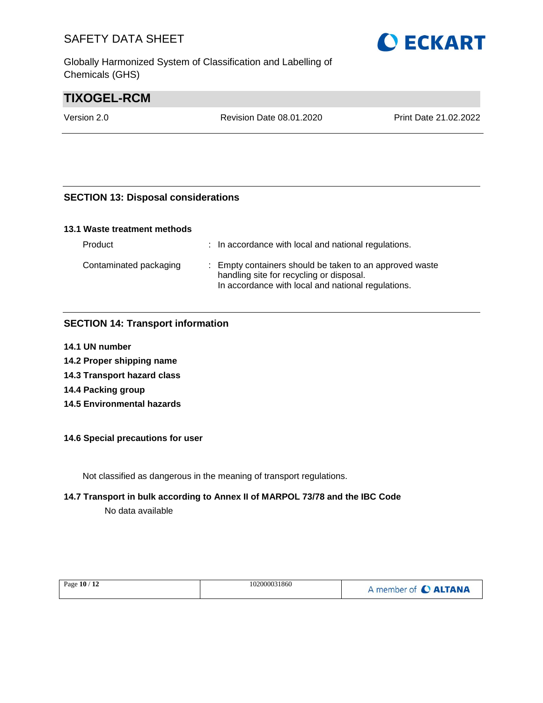Globally Harmonized System of Classification and Labelling of Chemicals (GHS)



# **TIXOGEL-RCM**

Version 2.0 Revision Date 08.01.2020 Print Date 21.02.2022

## **SECTION 13: Disposal considerations**

### **13.1 Waste treatment methods**

| Product                | : In accordance with local and national regulations.                                                                                                      |
|------------------------|-----------------------------------------------------------------------------------------------------------------------------------------------------------|
| Contaminated packaging | : Empty containers should be taken to an approved waste<br>handling site for recycling or disposal.<br>In accordance with local and national regulations. |

## **SECTION 14: Transport information**

- **14.1 UN number**
- **14.2 Proper shipping name**
- **14.3 Transport hazard class**
- **14.4 Packing group**
- **14.5 Environmental hazards**

#### **14.6 Special precautions for user**

Not classified as dangerous in the meaning of transport regulations.

### **14.7 Transport in bulk according to Annex II of MARPOL 73/78 and the IBC Code**

No data available

| Page 10 / 12 | 102000031860 | A member of C ALTANA |
|--------------|--------------|----------------------|
|              |              |                      |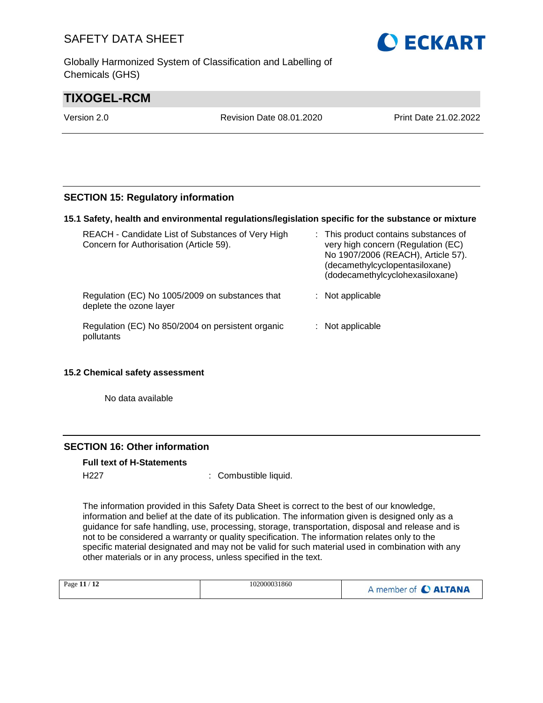Globally Harmonized System of Classification and Labelling of Chemicals (GHS)



# **TIXOGEL-RCM**

Version 2.0 Revision Date 08.01.2020 Print Date 21.02.2022

## **SECTION 15: Regulatory information**

#### **15.1 Safety, health and environmental regulations/legislation specific for the substance or mixture**

| REACH - Candidate List of Substances of Very High<br>Concern for Authorisation (Article 59). | : This product contains substances of<br>very high concern (Regulation (EC)<br>No 1907/2006 (REACH), Article 57).<br>(decamethylcyclopentasiloxane)<br>(dodecamethylcyclohexasiloxane) |
|----------------------------------------------------------------------------------------------|----------------------------------------------------------------------------------------------------------------------------------------------------------------------------------------|
| Regulation (EC) No 1005/2009 on substances that<br>deplete the ozone layer                   | : Not applicable                                                                                                                                                                       |
| Regulation (EC) No 850/2004 on persistent organic<br>pollutants                              | : Not applicable                                                                                                                                                                       |
|                                                                                              |                                                                                                                                                                                        |

#### **15.2 Chemical safety assessment**

No data available

### **SECTION 16: Other information**

#### **Full text of H-Statements**

H227 : Combustible liquid.

The information provided in this Safety Data Sheet is correct to the best of our knowledge, information and belief at the date of its publication. The information given is designed only as a guidance for safe handling, use, processing, storage, transportation, disposal and release and is not to be considered a warranty or quality specification. The information relates only to the specific material designated and may not be valid for such material used in combination with any other materials or in any process, unless specified in the text.

| 102000031860<br>Page 11 / 12 | A member of C ALTANA |
|------------------------------|----------------------|
|------------------------------|----------------------|